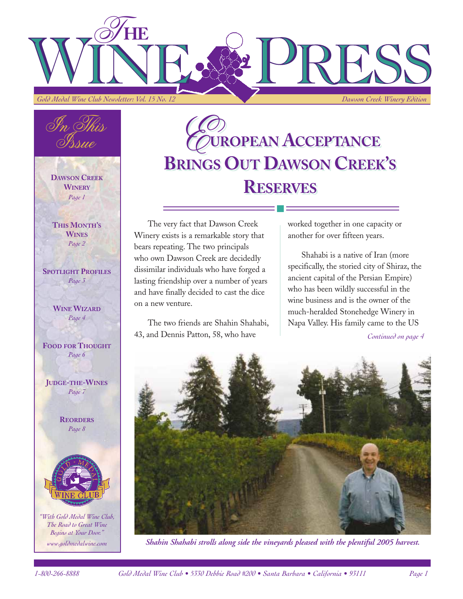



**DAWSON CREEK WINERY** *Page 1*

**THIS MONTH'S WINES** *Page 2*

**SPOTLIGHT PROFILES** *Page 3*

#### **WINE WIZARD** *Page 4*

**FOOD FOR THOUGHT** *Page 6*

**JUDGE-THE-WINES** *Page 7*

> **REORDERS** *Page 8*



*"With Gold Medal Wine Club, The Road to Great Wine Begins at Your Door." www.goldmedalwine.com*

# *E***UROPEAN ACCEPTANCE** *E***UROPEAN ACCEPTANCE BRINGS OUT DAWSON CREEK'S BRINGS OUT DAWSON CREEK'S RESERVES RESERVES**

The very fact that Dawson Creek Winery exists is a remarkable story that bears repeating. The two principals who own Dawson Creek are decidedly dissimilar individuals who have forged a lasting friendship over a number of years and have finally decided to cast the dice on a new venture.

The two friends are Shahin Shahabi, 43, and Dennis Patton, 58, who have

worked together in one capacity or another for over fifteen years.

Shahabi is a native of Iran (more specifically, the storied city of Shiraz, the ancient capital of the Persian Empire) who has been wildly successful in the wine business and is the owner of the much-heralded Stonehedge Winery in Napa Valley. His family came to the US

*Continued on page 4*



*Shahin Shahabi strolls along side the vineyards pleased with the plentiful 2005 harvest.*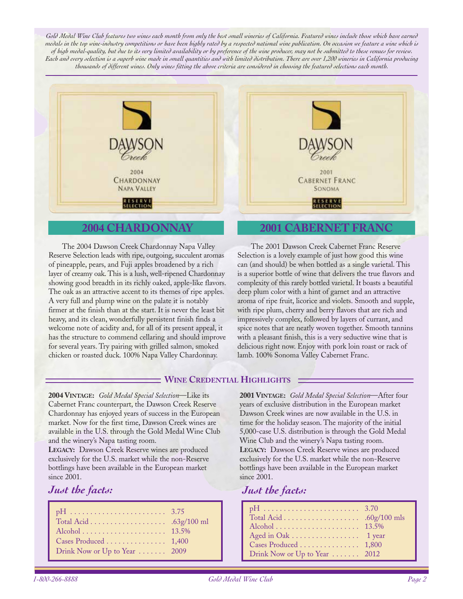Gold Medal Wine Club features two wines each month from only the best small wineries of California. Featured wines include those which have earned *medals in the top wine-industry competitions or have been highly rated by a respected national wine publication. On occasion we feature a wine which is of high medal-quality, but due to its very limited availability or by preference of the wine producer, may not be submitted to these venues for review. Each and every selection is a superb wine made in small quantities and with limited distribution. There are over 1,200 wineries in California producing thousands of different wines. Only wines fitting the above criteria are considered in choosing the featured selections each month.*



#### **2004 CHARDONNAY**

The 2004 Dawson Creek Chardonnay Napa Valley Reserve Selection leads with ripe, outgoing, succulent aromas of pineapple, pears, and Fuji apples broadened by a rich layer of creamy oak. This is a lush, well-ripened Chardonnay showing good breadth in its richly oaked, apple-like flavors. The oak as an attractive accent to its themes of ripe apples. A very full and plump wine on the palate it is notably firmer at the finish than at the start. It is never the least bit heavy, and its clean, wonderfully persistent finish finds a welcome note of acidity and, for all of its present appeal, it has the structure to commend cellaring and should improve for several years. Try pairing with grilled salmon, smoked chicken or roasted duck. 100% Napa Valley Chardonnay.

#### **2001 CABERNET FRANC**

The 2001 Dawson Creek Cabernet Franc Reserve Selection is a lovely example of just how good this wine can (and should) be when bottled as a single varietal. This is a superior bottle of wine that delivers the true flavors and complexity of this rarely bottled varietal. It boasts a beautiful deep plum color with a hint of garnet and an attractive aroma of ripe fruit, licorice and violets. Smooth and supple, with ripe plum, cherry and berry flavors that are rich and impressively complex, followed by layers of currant, and spice notes that are neatly woven together. Smooth tannins with a pleasant finish, this is a very seductive wine that is delicious right now. Enjoy with pork loin roast or rack of lamb. 100% Sonoma Valley Cabernet Franc.

#### **WINE CREDENTIAL HIGHLIGHTS**

**2004 VINTAGE:** *Gold Medal Special Selection*—Like its Cabernet Franc counterpart, the Dawson Creek Reserve Chardonnay has enjoyed years of success in the European market. Now for the first time, Dawson Creek wines are available in the U.S. through the Gold Medal Wine Club and the winery's Napa tasting room.

**LEGACY:** Dawson Creek Reserve wines are produced exclusively for the U.S. market while the non-Reserve bottlings have been available in the European market since 2001.

## *Just the facts:*

| Cases Produced 1,400          |  |
|-------------------------------|--|
| Drink Now or Up to Year  2009 |  |

**2001 VINTAGE:** *Gold Medal Special Selection*—After four years of exclusive distribution in the European market Dawson Creek wines are now available in the U.S. in time for the holiday season. The majority of the initial 5,000-case U.S. distribution is through the Gold Medal Wine Club and the winery's Napa tasting room. **LEGACY:** Dawson Creek Reserve wines are produced exclusively for the U.S. market while the non-Reserve bottlings have been available in the European market since 2001.

## *Just the facts:*

| Aged in Oak 1 year            |  |
|-------------------------------|--|
| Cases Produced 1,800          |  |
| Drink Now or Up to Year  2012 |  |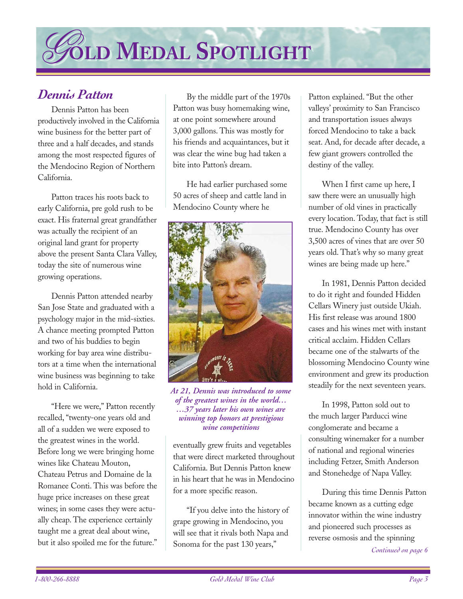# *G***OLD OLDMMEDAL EDALSSPOTLIGHT POTLIGHT**

# *Dennis Patton*

Dennis Patton has been productively involved in the California wine business for the better part of three and a half decades, and stands among the most respected figures of the Mendocino Region of Northern California.

Patton traces his roots back to early California, pre gold rush to be exact. His fraternal great grandfather was actually the recipient of an original land grant for property above the present Santa Clara Valley, today the site of numerous wine growing operations.

Dennis Patton attended nearby San Jose State and graduated with a psychology major in the mid-sixties. A chance meeting prompted Patton and two of his buddies to begin working for bay area wine distributors at a time when the international wine business was beginning to take hold in California.

"Here we were," Patton recently recalled, "twenty-one years old and all of a sudden we were exposed to the greatest wines in the world. Before long we were bringing home wines like Chateau Mouton, Chateau Petrus and Domaine de la Romanee Conti. This was before the huge price increases on these great wines; in some cases they were actually cheap. The experience certainly taught me a great deal about wine, but it also spoiled me for the future."

By the middle part of the 1970s Patton was busy homemaking wine, at one point somewhere around 3,000 gallons. This was mostly for his friends and acquaintances, but it was clear the wine bug had taken a bite into Patton's dream.

He had earlier purchased some 50 acres of sheep and cattle land in Mendocino County where he



*At 21, Dennis was introduced to some of the greatest wines in the world… …37 years later his own wines are winning top honors at prestigious wine competitions*

eventually grew fruits and vegetables that were direct marketed throughout California. But Dennis Patton knew in his heart that he was in Mendocino for a more specific reason.

"If you delve into the history of grape growing in Mendocino, you will see that it rivals both Napa and Sonoma for the past 130 years,"

Patton explained. "But the other valleys' proximity to San Francisco and transportation issues always forced Mendocino to take a back seat. And, for decade after decade, a few giant growers controlled the destiny of the valley.

When I first came up here, I saw there were an unusually high number of old vines in practically every location. Today, that fact is still true. Mendocino County has over 3,500 acres of vines that are over 50 years old. That's why so many great wines are being made up here."

In 1981, Dennis Patton decided to do it right and founded Hidden Cellars Winery just outside Ukiah. His first release was around 1800 cases and his wines met with instant critical acclaim. Hidden Cellars became one of the stalwarts of the blossoming Mendocino County wine environment and grew its production steadily for the next seventeen years.

In 1998, Patton sold out to the much larger Parducci wine conglomerate and became a consulting winemaker for a number of national and regional wineries including Fetzer, Smith Anderson and Stonehedge of Napa Valley.

During this time Dennis Patton became known as a cutting edge innovator within the wine industry and pioneered such processes as reverse osmosis and the spinning

*Continued on page 6*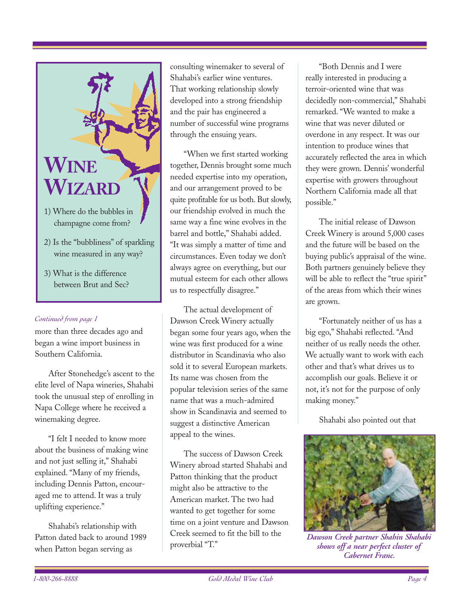

- 2) Is the "bubbliness" of sparkling wine measured in any way?
- 3) What is the difference between Brut and Sec?

#### *Continued from page 1*

more than three decades ago and began a wine import business in Southern California.

After Stonehedge's ascent to the elite level of Napa wineries, Shahabi took the unusual step of enrolling in Napa College where he received a winemaking degree.

"I felt I needed to know more about the business of making wine and not just selling it," Shahabi explained. "Many of my friends, including Dennis Patton, encouraged me to attend. It was a truly uplifting experience."

Shahabi's relationship with Patton dated back to around 1989 when Patton began serving as

consulting winemaker to several of Shahabi's earlier wine ventures. That working relationship slowly developed into a strong friendship and the pair has engineered a number of successful wine programs through the ensuing years.

"When we first started working together, Dennis brought some much needed expertise into my operation, and our arrangement proved to be quite profitable for us both. But slowly, our friendship evolved in much the same way a fine wine evolves in the barrel and bottle," Shahabi added. "It was simply a matter of time and circumstances. Even today we don't always agree on everything, but our mutual esteem for each other allows us to respectfully disagree."

The actual development of Dawson Creek Winery actually began some four years ago, when the wine was first produced for a wine distributor in Scandinavia who also sold it to several European markets. Its name was chosen from the popular television series of the same name that was a much-admired show in Scandinavia and seemed to suggest a distinctive American appeal to the wines.

The success of Dawson Creek Winery abroad started Shahabi and Patton thinking that the product might also be attractive to the American market. The two had wanted to get together for some time on a joint venture and Dawson Creek seemed to fit the bill to the proverbial "T."

"Both Dennis and I were really interested in producing a terroir-oriented wine that was decidedly non-commercial," Shahabi remarked. "We wanted to make a wine that was never diluted or overdone in any respect. It was our intention to produce wines that accurately reflected the area in which they were grown. Dennis' wonderful expertise with growers throughout Northern California made all that possible."

The initial release of Dawson Creek Winery is around 5,000 cases and the future will be based on the buying public's appraisal of the wine. Both partners genuinely believe they will be able to reflect the "true spirit" of the areas from which their wines are grown.

"Fortunately neither of us has a big ego," Shahabi reflected. "And neither of us really needs the other. We actually want to work with each other and that's what drives us to accomplish our goals. Believe it or not, it's not for the purpose of only making money."

Shahabi also pointed out that



*Dawson Creek partner Shahin Shahabi shows off a near perfect cluster of Cabernet Franc.*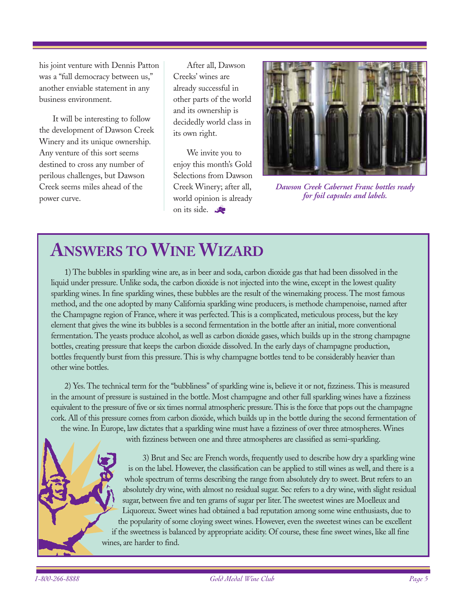his joint venture with Dennis Patton was a "full democracy between us," another enviable statement in any business environment.

It will be interesting to follow the development of Dawson Creek Winery and its unique ownership. Any venture of this sort seems destined to cross any number of perilous challenges, but Dawson Creek seems miles ahead of the power curve.

After all, Dawson Creeks' wines are already successful in other parts of the world and its ownership is decidedly world class in its own right.

We invite you to enjoy this month's Gold Selections from Dawson Creek Winery; after all, world opinion is already on its side.



*Dawson Creek Cabernet Franc bottles ready for foil capsules and labels.* 

# **ANSWERS TO WINE WIZARD**

1) The bubbles in sparkling wine are, as in beer and soda, carbon dioxide gas that had been dissolved in the liquid under pressure. Unlike soda, the carbon dioxide is not injected into the wine, except in the lowest quality sparkling wines. In fine sparkling wines, these bubbles are the result of the winemaking process. The most famous method, and the one adopted by many California sparkling wine producers, is methode champenoise, named after the Champagne region of France, where it was perfected. This is a complicated, meticulous process, but the key element that gives the wine its bubbles is a second fermentation in the bottle after an initial, more conventional fermentation. The yeasts produce alcohol, as well as carbon dioxide gases, which builds up in the strong champagne bottles, creating pressure that keeps the carbon dioxide dissolved. In the early days of champagne production, bottles frequently burst from this pressure. This is why champagne bottles tend to be considerably heavier than other wine bottles.

2) Yes. The technical term for the "bubbliness" of sparkling wine is, believe it or not, fizziness. This is measured in the amount of pressure is sustained in the bottle. Most champagne and other full sparkling wines have a fizziness equivalent to the pressure of five or six times normal atmospheric pressure.This is the force that pops out the champagne cork. All of this pressure comes from carbon dioxide, which builds up in the bottle during the second fermentation of the wine. In Europe, law dictates that a sparkling wine must have a fizziness of over three atmospheres. Wines

with fizziness between one and three atmospheres are classified as semi-sparkling.

3) Brut and Sec are French words, frequently used to describe how dry a sparkling wine is on the label. However, the classification can be applied to still wines as well, and there is a whole spectrum of terms describing the range from absolutely dry to sweet. Brut refers to an absolutely dry wine, with almost no residual sugar. Sec refers to a dry wine, with slight residual sugar, between five and ten grams of sugar per liter. The sweetest wines are Moelleux and Liquoreux. Sweet wines had obtained a bad reputation among some wine enthusiasts, due to the popularity of some cloying sweet wines. However, even the sweetest wines can be excellent if the sweetness is balanced by appropriate acidity. Of course, these fine sweet wines, like all fine wines, are harder to find.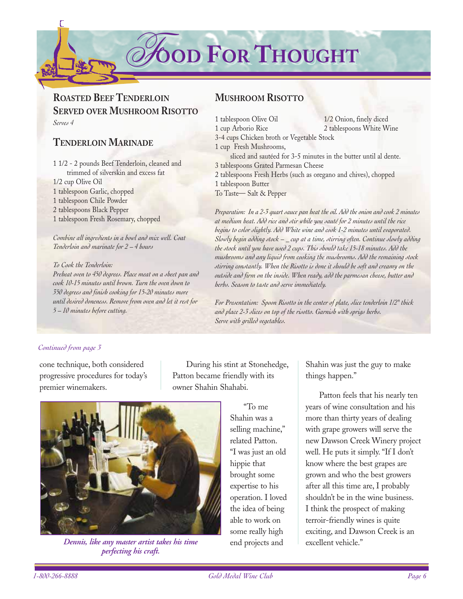$\partial$ *f***OOD FOR THOUGHT** 

# **ROASTED BEEF TENDERLOIN SERVED OVER MUSHROOM RISOTTO** *Serves 4*

## **TENDERLOIN MARINADE**

1 1/2 - 2 pounds Beef Tenderloin, cleaned and trimmed of silverskin and excess fat 1/2 cup Olive Oil 1 tablespoon Garlic, chopped 1 tablespoon Chile Powder 2 tablespoons Black Pepper 1 tablespoon Fresh Rosemary, chopped

*Combine all ingredients in a bowl and mix well. Coat Tenderloin and marinate for 2 – 4 hours*

*To Cook the Tenderloin: Preheat oven to 450 degrees. Place meat on a sheet pan and cook 10-15 minutes until brown. Turn the oven down to 350 degrees and finish cooking for 15-20 minutes more until desired doneness. Remove from oven and let it rest for 5 – 10 minutes before cutting.*

# **MUSHROOM RISOTTO**

| 1/2 Onion, finely diced                                          |
|------------------------------------------------------------------|
| 2 tablespoons White Wine                                         |
| 3-4 cups Chicken broth or Vegetable Stock                        |
|                                                                  |
| sliced and sautéed for 3-5 minutes in the butter until al dente. |
| 3 tablespoons Grated Parmesan Cheese                             |
| 2 tablespoons Fresh Herbs (such as oregano and chives), chopped  |
|                                                                  |
|                                                                  |
|                                                                  |

*Preparation: In a 2-3 quart sauce pan heat the oil. Add the onion and cook 2 minutes at medium heat. Add rice and stir while you sauté for 2 minutes until the rice begins to color slightly. Add White wine and cook 1-2 minutes until evaporated. Slowly begin adding stock – \_ cup at a time, stirring often. Continue slowly adding the stock until you have used 2 cups. This should take 15-18 minutes. Add the mushrooms and any liquid from cooking the mushrooms. Add the remaining stock stirring constantly. When the Risotto is done it should be soft and creamy on the outside and firm on the inside. When ready, add the parmesan cheese, butter and herbs. Season to taste and serve immediately.*

*For Presentation: Spoon Risotto in the center of plate, slice tenderloin 1/2" thick and place 2-3 slices on top of the risotto. Garnish with sprigs herbs. Serve with grilled vegetables.*

#### *Continued from page 3*

cone technique, both considered progressive procedures for today's premier winemakers.

During his stint at Stonehedge, Patton became friendly with its owner Shahin Shahabi.



*Dennis, like any master artist takes his time perfecting his craft.* 

"To me Shahin was a selling machine," related Patton. "I was just an old hippie that brought some expertise to his operation. I loved the idea of being able to work on some really high end projects and

Shahin was just the guy to make things happen."

Patton feels that his nearly ten years of wine consultation and his more than thirty years of dealing with grape growers will serve the new Dawson Creek Winery project well. He puts it simply. "If I don't know where the best grapes are grown and who the best growers after all this time are, I probably shouldn't be in the wine business. I think the prospect of making terroir-friendly wines is quite exciting, and Dawson Creek is an excellent vehicle."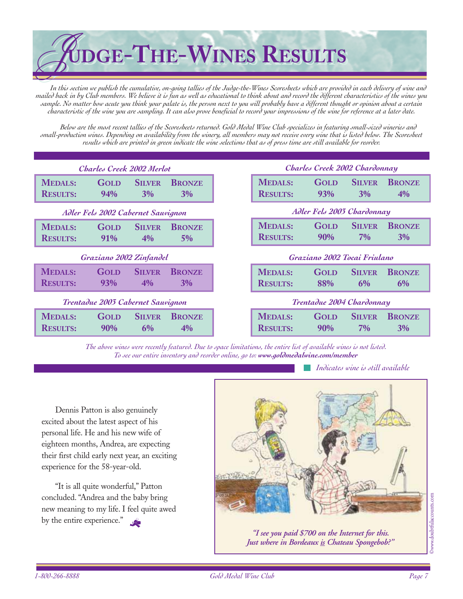

*In this section we publish the cumulative, on-going tallies of the Judge-the-Wines Scoresheets which are provided in each delivery of wine and mailed back in by Club members. We believe it is fun as well as educational to think about and record the different characteristics of the wines you sample. No matter how acute you think your palate is, the person next to you will probably have a different thought or opinion about a certain characteristic of the wine you are sampling. It can also prove beneficial to record your impressions of the wine for reference at a later date.*

*Below are the most recent tallies of the Scoresheets returned. Gold Medal Wine Club specializes in featuring small-sized wineries and small-production wines. Depending on availability from the winery, all members may not receive every wine that is listed below. The Scoresheet results which are printed in green indicate the wine selections that as of press time are still available for reorder.*

| Charles Creek 2002 Merlot          |                                   |                        |                     |
|------------------------------------|-----------------------------------|------------------------|---------------------|
| <b>MEDALS:</b><br><b>RESULTS:</b>  | GOLD<br>94%                       | <b>SILVER</b><br>3%    | <b>BRONZE</b><br>3% |
| Adler Fels 2002 Cabernet Sauvignon |                                   |                        |                     |
| <b>MEDALS:</b><br><b>RESULTS:</b>  | <b>GOLD</b><br>91%                | <b>SILVER</b><br>4%    | <b>BRONZE</b><br>5% |
| Graziano 2002 Zinfandel            |                                   |                        |                     |
|                                    |                                   |                        |                     |
| <b>MEDALS:</b><br><b>RESULTS:</b>  | GOLD<br>93%                       | <b>SILVER</b><br>$4\%$ | <b>BRONZE</b><br>3% |
|                                    | Trentadue 2003 Cabernet Sauvignon |                        |                     |

*The above wines were recently featured. Due to space limitations, the entire list of available wines is not listed. To see our entire inventory and reorder online, go to: www.goldmedalwine.com/member*

*Indicates wine is still available*

Dennis Patton is also genuinely excited about the latest aspect of his personal life. He and his new wife of eighteen months, Andrea, are expecting their first child early next year, an exciting experience for the 58-year-old.

"It is all quite wonderful," Patton concluded. "Andrea and the baby bring new meaning to my life. I feel quite awed by the entire experience."



*"I see you paid \$700 on the Internet for this. Just where in Bordeaux is Chateau Spongebob?"*